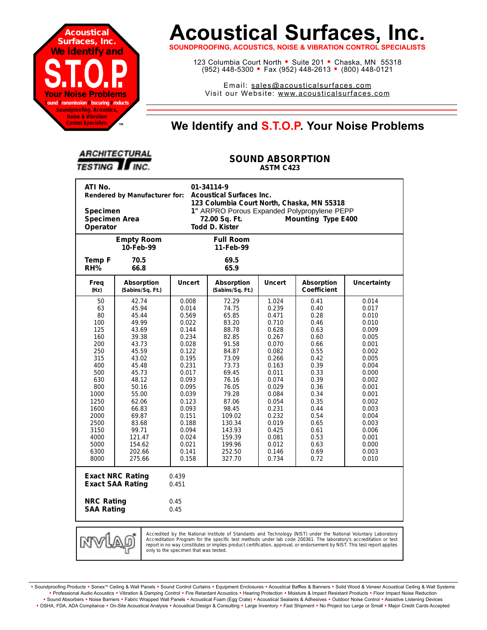

# **Acoustical Surfaces, Inc.**

**SOUNDPROOFING, ACOUSTICS, NOISE & VIBRATION CONTROL SPECIALISTS**

123 Columbia Court North · Suite 201 · Chaska, MN 55318 (952) 448-5300 <sup>=</sup> Fax (952) 448-2613 <sup>=</sup> (800) 448-0121

Email: sales@acousticalsurfaces.com Visit our Website: www.acousticalsurfaces.com

## **™ We Identify and S.T.O.P. Your Noise Problems**

| <b>ARCHITECTURAL</b>   |  |
|------------------------|--|
| <b>TESTING II INC.</b> |  |

#### **SOUND ABSORPTION ASTM C423**

| ATI No.<br>01-34114-9<br>Rendered by Manufacturer for:<br><b>Acoustical Surfaces Inc.</b><br>123 Columbia Court North, Chaska, MN 55318<br>1" ARPRO Porous Expanded Polypropylene PEPP<br>Specimen<br>Specimen Area<br>Mounting Type E400<br>72.00 Sq. Ft.<br>Todd D. Kister<br>Operator                                                                                |                                                                                                                                                                                                                 |                                                                                                                                                                                                             |                                                                                                                                                                                                                    |                                                                                                                                                                                                             |                                                                                                                                                                                      |                                                                                                                                                                                                             |  |
|-------------------------------------------------------------------------------------------------------------------------------------------------------------------------------------------------------------------------------------------------------------------------------------------------------------------------------------------------------------------------|-----------------------------------------------------------------------------------------------------------------------------------------------------------------------------------------------------------------|-------------------------------------------------------------------------------------------------------------------------------------------------------------------------------------------------------------|--------------------------------------------------------------------------------------------------------------------------------------------------------------------------------------------------------------------|-------------------------------------------------------------------------------------------------------------------------------------------------------------------------------------------------------------|--------------------------------------------------------------------------------------------------------------------------------------------------------------------------------------|-------------------------------------------------------------------------------------------------------------------------------------------------------------------------------------------------------------|--|
|                                                                                                                                                                                                                                                                                                                                                                         | <b>Empty Room</b><br>10-Feb-99                                                                                                                                                                                  |                                                                                                                                                                                                             | <b>Full Room</b><br>11-Feb-99                                                                                                                                                                                      |                                                                                                                                                                                                             |                                                                                                                                                                                      |                                                                                                                                                                                                             |  |
| Temp F<br>RH%                                                                                                                                                                                                                                                                                                                                                           | 70.5<br>66.8                                                                                                                                                                                                    |                                                                                                                                                                                                             | 69.5<br>65.9                                                                                                                                                                                                       |                                                                                                                                                                                                             |                                                                                                                                                                                      |                                                                                                                                                                                                             |  |
| Freq<br>(Hz)                                                                                                                                                                                                                                                                                                                                                            | Absorption<br>(Sabins/Sq. Ft.)                                                                                                                                                                                  | <b>Uncert</b>                                                                                                                                                                                               | Absorption<br>(Sabins/Sq. Ft.)                                                                                                                                                                                     | <b>Uncert</b>                                                                                                                                                                                               | Absorption<br><b>Coefficient</b>                                                                                                                                                     | <b>Uncertainty</b>                                                                                                                                                                                          |  |
| 50<br>63<br>80<br>100<br>125<br>160<br>200<br>250<br>315<br>400<br>500<br>630<br>800<br>1000<br>1250<br>1600<br>2000<br>2500<br>3150<br>4000<br>5000<br>6300<br>8000                                                                                                                                                                                                    | 42.74<br>45.94<br>45.44<br>49.99<br>43.69<br>39.38<br>43.73<br>45.59<br>43.02<br>45.48<br>45.73<br>48.12<br>50.16<br>55.00<br>62.06<br>66.83<br>69.87<br>83.68<br>99.71<br>121.47<br>154.62<br>202.66<br>275.66 | 0.008<br>0.014<br>0.569<br>0.022<br>0.144<br>0.234<br>0.028<br>0.122<br>0.195<br>0.231<br>0.017<br>0.093<br>0.095<br>0.039<br>0.123<br>0.093<br>0.151<br>0.188<br>0.094<br>0.024<br>0.021<br>0.141<br>0.158 | 72.29<br>74.75<br>65.85<br>83.20<br>88.78<br>82.85<br>91.58<br>84.87<br>73.09<br>73.73<br>69.45<br>76.16<br>76.05<br>79.28<br>87.06<br>98.45<br>109.02<br>130.34<br>143.93<br>159.39<br>199.96<br>252.50<br>327.70 | 1.024<br>0.239<br>0.471<br>0.710<br>0.628<br>0.267<br>0.070<br>0.082<br>0.266<br>0.163<br>0.011<br>0.074<br>0.029<br>0.084<br>0.054<br>0.231<br>0.232<br>0.019<br>0.425<br>0.081<br>0.012<br>0.146<br>0.734 | 0.41<br>0.40<br>0.28<br>0.46<br>0.63<br>0.60<br>0.66<br>0.55<br>0.42<br>0.39<br>0.33<br>0.39<br>0.36<br>0.34<br>0.35<br>0.44<br>0.54<br>0.65<br>0.61<br>0.53<br>0.63<br>0.69<br>0.72 | 0.014<br>0.017<br>0.010<br>0.010<br>0.009<br>0.005<br>0.001<br>0.002<br>0.005<br>0.004<br>0.000<br>0.002<br>0.001<br>0.001<br>0.002<br>0.003<br>0.004<br>0.003<br>0.006<br>0.001<br>0.000<br>0.003<br>0.010 |  |
| <b>Exact NRC Rating</b><br>0.439<br><b>Exact SAA Rating</b><br>0.451<br><b>NRC Rating</b><br>0.45<br><b>SAA Rating</b><br>0.45                                                                                                                                                                                                                                          |                                                                                                                                                                                                                 |                                                                                                                                                                                                             |                                                                                                                                                                                                                    |                                                                                                                                                                                                             |                                                                                                                                                                                      |                                                                                                                                                                                                             |  |
| Accredited by the National Institute of Standards and Technology (NIST) under the National Voluntary Laboratory<br>MW<br>Accreditation Program for the specific test methods under lab code 200361. The laboratory's accreditation or test<br>report in no way constitutes or implies product certification, approval, or endorsement by NIST. This test report applies |                                                                                                                                                                                                                 |                                                                                                                                                                                                             |                                                                                                                                                                                                                    |                                                                                                                                                                                                             |                                                                                                                                                                                      |                                                                                                                                                                                                             |  |

Soundproofing Products . Sonex<sup>TM</sup> Ceiling & Wall Panels . Sound Control Curtains . Equipment Enclosures . Acoustical Baffles & Banners . Solid Wood & Veneer Acoustical Ceiling & Wall Systems **•** Professional Audio Acoustics **•** Vibration & Damping Control **•** Fire Retardant Acoustics **•** Hearing Protection **•** Moisture & Impact Resistant Products **•** Floor Impact Noise Reduction · Sound Absorbers · Noise Barriers · Fabric Wrapped Wall Panels · Acoustical Foam (Egg Crate) · Acoustical Sealants & Adhesives · Outdoor Noise Control · Assistive Listening Devices . OSHA, FDA, ADA Compliance . On-Site Acoustical Analysis . Acoustical Design & Consulting . Large Inventory . Fast Shipment . No Project too Large or Small . Major Credit Cards Accepted

only to the specimen that was tested.